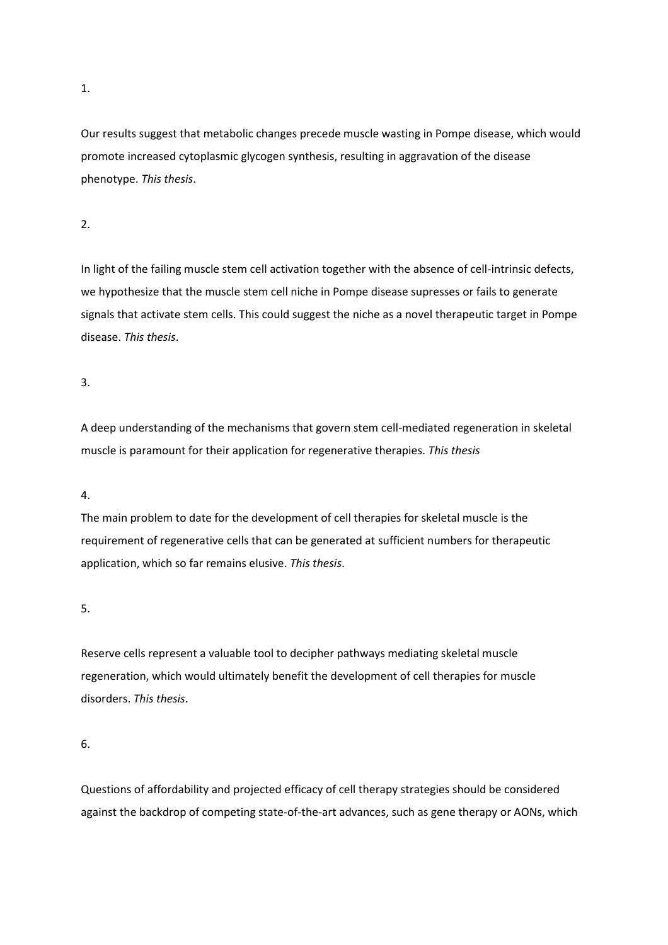1.

Our results suggest that metabolic changes precede muscle wasting in Pompe disease, which would promote increased cytoplasmic glycogen synthesis, resulting in aggravation of the disease phenotype. *This thesis*.

2.

In light of the failing muscle stem cell activation together with the absence of cell-intrinsic defects, we hypothesize that the muscle stem cell niche in Pompe disease supresses or fails to generate signals that activate stem cells. This could suggest the niche as a novel therapeutic target in Pompe disease. *This thesis*.

3.

A deep understanding of the mechanisms that govern stem cell-mediated regeneration in skeletal muscle is paramount for their application for regenerative therapies. *This thesis*

4.

The main problem to date for the development of cell therapies for skeletal muscle is the requirement of regenerative cells that can be generated at sufficient numbers for therapeutic application, which so far remains elusive. *This thesis*.

5.

Reserve cells represent a valuable tool to decipher pathways mediating skeletal muscle regeneration, which would ultimately benefit the development of cell therapies for muscle disorders. *This thesis*.

6.

Questions of affordability and projected efficacy of cell therapy strategies should be considered against the backdrop of competing state-of-the-art advances, such as gene therapy or AONs, which